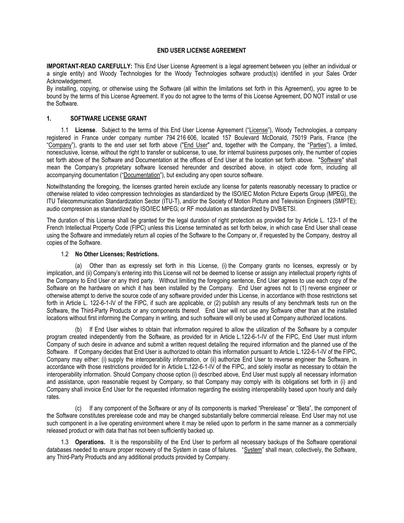### **END USER LICENSE AGREEMENT**

**IMPORTANT-READ CAREFULLY:** This End User License Agreement is a legal agreement between you (either an individual or a single entity) and Woody Technologies for the Woody Technologies software product(s) identified in your Sales Order Acknowledgement.

By installing, copying, or otherwise using the Software (all within the limitations set forth in this Agreement), you agree to be bound by the terms of this License Agreement. If you do not agree to the terms of this License Agreement, DO NOT install or use the Software.

### **1. SOFTWARE LICENSE GRANT**

1.1 **License**. Subject to the terms of this End User License Agreement ("License"), Woody Technologies, a company registered in France under company number 794 216 606, located 157 Boulevard McDonald, 75019 Paris, France (the "Company"), grants to the end user set forth above ("End User" and, together with the Company, the "Parties"), a limited, nonexclusive, license, without the right to transfer or sublicense, to use, for internal business purposes only, the number of copies set forth above of the Software and Documentation at the offices of End User at the location set forth above. "Software" shall mean the Company's proprietary software licensed hereunder and described above, in object code form, including all accompanying documentation ("Documentation"), but excluding any open source software.

Notwithstanding the foregoing, the licenses granted herein exclude any license for patents reasonably necessary to practice or otherwise related to video compression technologies as standardized by the ISO/IEC Motion Picture Experts Group (MPEG), the ITU Telecommunication Standardization Sector (ITU-T), and/or the Society of Motion Picture and Television Engineers (SMPTE); audio compression as standardized by ISO/IEC MPEG; or RF modulation as standardized by DVB/ETSI.

The duration of this License shall be granted for the legal duration of right protection as provided for by Article L. 123-1 of the French Intellectual Property Code (FIPC) unless this License terminated as set forth below, in which case End User shall cease using the Software and immediately return all copies of the Software to the Company or, if requested by the Company, destroy all copies of the Software.

### 1.2 **No Other Licenses; Restrictions.**

(a) Other than as expressly set forth in this License, (i) the Company grants no licenses, expressly or by implication, and (ii) Company's entering into this License will not be deemed to license or assign any intellectual property rights of the Company to End User or any third party. Without limiting the foregoing sentence, End User agrees to use each copy of the Software on the hardware on which it has been installed by the Company. End User agrees not to (1) reverse engineer or otherwise attempt to derive the source code of any software provided under this License, in accordance with those restrictions set forth in Article L. 122-6-1-IV of the FIPC, if such are applicable, or (2) publish any results of any benchmark tests run on the Software, the Third-Party Products or any components thereof. End User will not use any Software other than at the installed locations without first informing the Company in writing, and such software will only be used at Company authorized locations.

(b) If End User wishes to obtain that information required to allow the utilization of the Software by a computer program created independently from the Software, as provided for in Article L.122-6-1-IV of the FIPC, End User must inform Company of such desire in advance and submit a written request detailing the required information and the planned use of the Software. If Company decides that End User is authorized to obtain this information pursuant to Article L.122-6-1-IV of the FIPC, Company may either: (i) supply the interoperability information, or (ii) authorize End User to reverse engineer the Software, in accordance with those restrictions provided for in Article L.122-6-1-IV of the FIPC, and solely insofar as necessary to obtain the interoperability information. Should Company choose option (i) described above, End User must supply all necessary information and assistance, upon reasonable request by Company, so that Company may comply with its obligations set forth in (i) and Company shall invoice End User for the requested information regarding the existing interoperability based upon hourly and daily rates.

(c) If any component of the Software or any of its components is marked "Prerelease" or "Beta", the component of the Software constitutes prerelease code and may be changed substantially before commercial release. End User may not use such component in a live operating environment where it may be relied upon to perform in the same manner as a commercially released product or with data that has not been sufficiently backed up.

1.3 **Operations.** It is the responsibility of the End User to perform all necessary backups of the Software operational databases needed to ensure proper recovery of the System in case of failures. "System" shall mean, collectively, the Software, any Third-Party Products and any additional products provided by Company.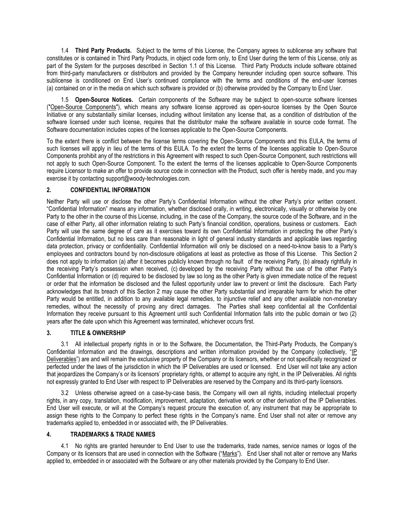1.4 **Third Party Products.** Subject to the terms of this License, the Company agrees to sublicense any software that constitutes or is contained in Third Party Products, in object code form only, to End User during the term of this License, only as part of the System for the purposes described in Section 1.1 of this License. Third Party Products include software obtained from third-party manufacturers or distributors and provided by the Company hereunder including open source software. This sublicense is conditioned on End User's continued compliance with the terms and conditions of the end-user licenses (a) contained on or in the media on which such software is provided or (b) otherwise provided by the Company to End User.

1.5 **Open-Source Notices.** Certain components of the Software may be subject to open-source software licenses ("Open-Source Components"), which means any software license approved as open-source licenses by the Open Source Initiative or any substantially similar licenses, including without limitation any license that, as a condition of distribution of the software licensed under such license, requires that the distributor make the software available in source code format. The Software documentation includes copies of the licenses applicable to the Open-Source Components.

To the extent there is conflict between the license terms covering the Open-Source Components and this EULA, the terms of such licenses will apply in lieu of the terms of this EULA. To the extent the terms of the licenses applicable to Open-Source Components prohibit any of the restrictions in this Agreement with respect to such Open-Source Component, such restrictions will not apply to such Open-Source Component. To the extent the terms of the licenses applicable to Open-Source Components require Licensor to make an offer to provide source code in connection with the Product, such offer is hereby made, and you may exercise it by contacting support@woody-technologies.com.

## **2. CONFIDENTIAL INFORMATION**

Neither Party will use or disclose the other Party's Confidential Information without the other Party's prior written consent. "Confidential Information" means any information, whether disclosed orally, in writing, electronically, visually or otherwise by one Party to the other in the course of this License, including, in the case of the Company, the source code of the Software, and in the case of either Party, all other information relating to such Party's financial condition, operations, business or customers. Each Party will use the same degree of care as it exercises toward its own Confidential Information in protecting the other Party's Confidential Information, but no less care than reasonable in light of general industry standards and applicable laws regarding data protection, privacy or confidentiality. Confidential Information will only be disclosed on a need-to-know basis to a Party's employees and contractors bound by non-disclosure obligations at least as protective as those of this License. This Section 2 does not apply to information (a) after it becomes publicly known through no fault of the receiving Party, (b) already rightfully in the receiving Party's possession when received, (c) developed by the receiving Party without the use of the other Party's Confidential Information or (d) required to be disclosed by law so long as the other Party is given immediate notice of the request or order that the information be disclosed and the fullest opportunity under law to prevent or limit the disclosure. Each Party acknowledges that its breach of this Section 2 may cause the other Party substantial and irreparable harm for which the other Party would be entitled, in addition to any available legal remedies, to injunctive relief and any other available non-monetary remedies, without the necessity of proving any direct damages. The Parties shall keep confidential all the Confidential Information they receive pursuant to this Agreement until such Confidential Information falls into the public domain or two (2) years after the date upon which this Agreement was terminated, whichever occurs first.

# **3. TITLE & OWNERSHIP**

3.1 All intellectual property rights in or to the Software, the Documentation, the Third-Party Products, the Company's Confidential Information and the drawings, descriptions and written information provided by the Company (collectively, "IP Deliverables") are and will remain the exclusive property of the Company or its licensors, whether or not specifically recognized or perfected under the laws of the jurisdiction in which the IP Deliverables are used or licensed. End User will not take any action that jeopardizes the Company's or its licensors' proprietary rights, or attempt to acquire any right, in the IP Deliverables. All rights not expressly granted to End User with respect to IP Deliverables are reserved by the Company and its third-party licensors.

3.2 Unless otherwise agreed on a case-by-case basis, the Company will own all rights, including intellectual property rights, in any copy, translation, modification, improvement, adaptation, derivative work or other derivation of the IP Deliverables. End User will execute, or will at the Company's request procure the execution of, any instrument that may be appropriate to assign these rights to the Company to perfect these rights in the Company's name. End User shall not alter or remove any trademarks applied to, embedded in or associated with, the IP Deliverables.

### **4. TRADEMARKS & TRADE NAMES**

4.1 No rights are granted hereunder to End User to use the trademarks, trade names, service names or logos of the Company or its licensors that are used in connection with the Software ("Marks"). End User shall not alter or remove any Marks applied to, embedded in or associated with the Software or any other materials provided by the Company to End User.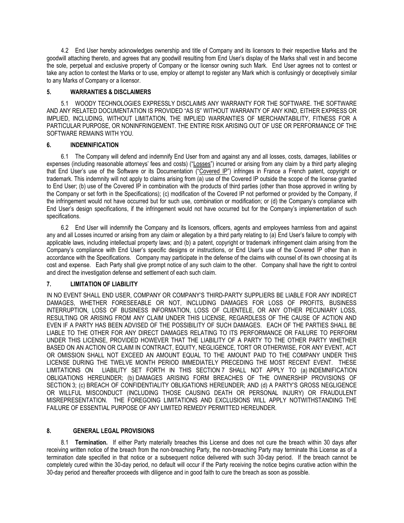4.2 End User hereby acknowledges ownership and title of Company and its licensors to their respective Marks and the goodwill attaching thereto, and agrees that any goodwill resulting from End User's display of the Marks shall vest in and become the sole, perpetual and exclusive property of Company or the licensor owning such Mark. End User agrees not to contest or take any action to contest the Marks or to use, employ or attempt to register any Mark which is confusingly or deceptively similar to any Marks of Company or a licensor.

### **5. WARRANTIES & DISCLAIMERS**

5.1 WOODY TECHNOLOGIES EXPRESSLY DISCLAIMS ANY WARRANTY FOR THE SOFTWARE. THE SOFTWARE AND ANY RELATED DOCUMENTATION IS PROVIDED "AS IS" WITHOUT WARRANTY OF ANY KIND, EITHER EXPRESS OR IMPLIED, INCLUDING, WITHOUT LIMITATION, THE IMPLIED WARRANTIES OF MERCHANTABILITY, FITNESS FOR A PARTICULAR PURPOSE, OR NONINFRINGEMENT. THE ENTIRE RISK ARISING OUT OF USE OR PERFORMANCE OF THE SOFTWARE REMAINS WITH YOU.

## **6. INDEMNIFICATION**

6.1 The Company will defend and indemnify End User from and against any and all losses, costs, damages, liabilities or expenses (including reasonable attorneys' fees and costs) ("Losses") incurred or arising from any claim by a third party alleging that End User's use of the Software or its Documentation ("Covered IP") infringes in France a French patent, copyright or trademark. This indemnity will not apply to claims arising from (a) use of the Covered IP outside the scope of the license granted to End User; (b) use of the Covered IP in combination with the products of third parties (other than those approved in writing by the Company or set forth in the Specifications); (c) modification of the Covered IP not performed or provided by the Company, if the infringement would not have occurred but for such use, combination or modification; or (d) the Company's compliance with End User's design specifications, if the infringement would not have occurred but for the Company's implementation of such specifications.

6.2 End User will indemnify the Company and its licensors, officers, agents and employees harmless from and against any and all Losses incurred or arising from any claim or allegation by a third party relating to (a) End User's failure to comply with applicable laws, including intellectual property laws; and (b) a patent, copyright or trademark infringement claim arising from the Company's compliance with End User's specific designs or instructions, or End User's use of the Covered IP other than in accordance with the Specifications. Company may participate in the defense of the claims with counsel of its own choosing at its cost and expense. Each Party shall give prompt notice of any such claim to the other. Company shall have the right to control and direct the investigation defense and settlement of each such claim.

# **7. LIMITATION OF LIABILITY**

IN NO EVENT SHALL END USER, COMPANY OR COMPANY'S THIRD-PARTY SUPPLIERS BE LIABLE FOR ANY INDIRECT DAMAGES, WHETHER FORESEEABLE OR NOT, INCLUDING DAMAGES FOR LOSS OF PROFITS, BUSINESS INTERRUPTION, LOSS OF BUSINESS INFORMATION, LOSS OF CLIENTELE, OR ANY OTHER PECUNIARY LOSS, RESULTING OR ARISING FROM ANY CLAIM UNDER THIS LICENSE, REGARDLESS OF THE CAUSE OF ACTION AND EVEN IF A PARTY HAS BEEN ADVISED OF THE POSSIBILITY OF SUCH DAMAGES. EACH OF THE PARTIES SHALL BE LIABLE TO THE OTHER FOR ANY DIRECT DAMAGES RELATING TO ITS PERFORMANCE OR FAILURE TO PERFORM UNDER THIS LICENSE, PROVIDED HOWEVER THAT THE LIABILITY OF A PARTY TO THE OTHER PARTY WHETHER BASED ON AN ACTION OR CLAIM IN CONTRACT, EQUITY, NEGLIGENCE, TORT OR OTHERWISE, FOR ANY EVENT, ACT OR OMISSION SHALL NOT EXCEED AN AMOUNT EQUAL TO THE AMOUNT PAID TO THE COMPANY UNDER THIS LICENSE DURING THE TWELVE MONTH PERIOD IMMEDIATELY PRECEDING THE MOST RECENT EVENT. THESE LIMITATIONS ON LIABILITY SET FORTH IN THIS SECTION 7 SHALL NOT APPLY TO (a) INDEMNIFICATION OBLIGATIONS HEREUNDER; (b) DAMAGES ARISING FORM BREACHES OF THE OWNERSHIP PROVISIONS OF SECTION 3; (c) BREACH OF CONFIDENTIALITY OBLIGATIONS HEREUNDER; AND (d) A PARTY'S GROSS NEGLIGENCE OR WILLFUL MISCONDUCT (INCLUDING THOSE CAUSING DEATH OR PERSONAL INJURY) OR FRAUDULENT MISREPRESENTATION. THE FOREGOING LIMITATIONS AND EXCLUSIONS WILL APPLY NOTWITHSTANDING THE FAILURE OF ESSENTIAL PURPOSE OF ANY LIMITED REMEDY PERMITTED HEREUNDER.

# **8. GENERAL LEGAL PROVISIONS**

8.1 **Termination.** If either Party materially breaches this License and does not cure the breach within 30 days after receiving written notice of the breach from the non-breaching Party, the non-breaching Party may terminate this License as of a termination date specified in that notice or a subsequent notice delivered with such 30-day period. If the breach cannot be completely cured within the 30-day period, no default will occur if the Party receiving the notice begins curative action within the 30-day period and thereafter proceeds with diligence and in good faith to cure the breach as soon as possible.